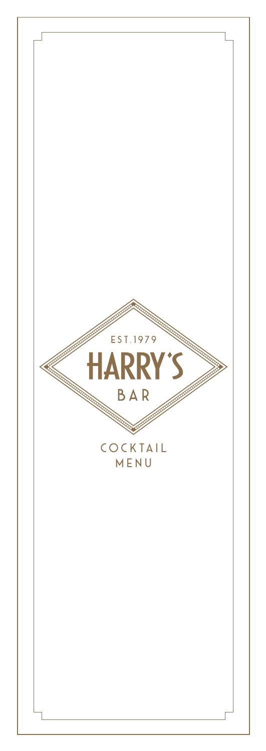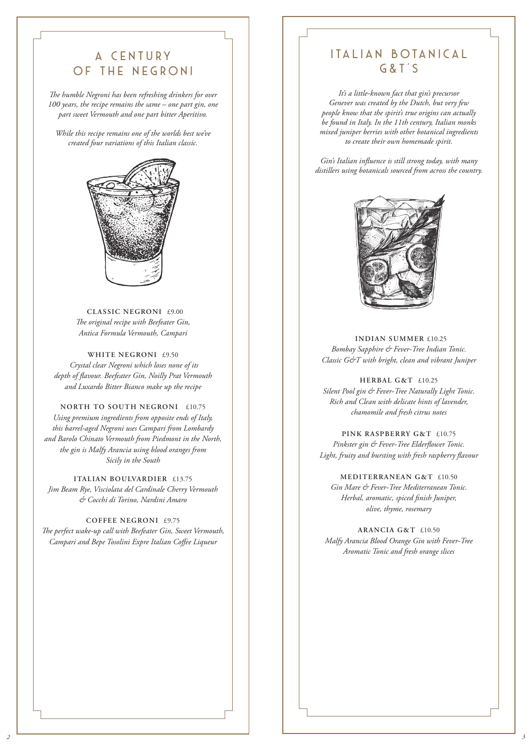# A Century Of The Negroni

*The humble Negroni has been refreshing drinkers for over 100 years, the recipe remains the same – one part gin, one part sweet Vermouth and one part bitter Aperitivo.* 

*While this recipe remains one of the worlds best we've created four variations of this Italian classic.*



**CLASSIC NEGRONI** £9.00 *The original recipe with Beefeater Gin, Antica Formula Vermouth, Campari*

**WHITE NEGRONI** £9.50  *Crystal clear Negroni which loses none of its depth of flavour. Beefeater Gin, Noilly Prat Vermouth and Luxardo Bitter Bianco make up the recipe* 

### **NORTH TO SOUTH NEGRONI** £10.75

*Using premium ingredients from opposite ends of Italy, this barrel-aged Negroni uses Campari from Lombardy and Barolo Chinato Vermouth from Piedmont in the North, the gin is Malfy Arancia using blood oranges from Sicily in the South*

**ITALIAN BOULVARDIER** £13.75 *Jim Beam Rye, Visciolata del Cardinale Cherry Vermouth & Cocchi di Torino, Nardini Amaro* 

#### **COFFEE NEGRONI** £9.75

*The perfect wake-up call with Beefeater Gin, Sweet Vermouth, Campari and Bepe Tosolini Expre Italian Coffee Liqueur*

## ITALIAN BOTANICAL G&T'S

*It's a little-known fact that gin's precursor Genever was created by the Dutch, but very few people know that the spirit's true origins can actually be found in Italy. In the 11th century, Italian monks mixed juniper berries with other botanical ingredients to create their own homemade spirit.* 

*Gin's Italian influence is still strong today, with many distillers using botanicals sourced from across the country.*



**INDIAN SUMMER** £10.25 *Bombay Sapphire & Fever-Tree Indian Tonic. Classic G&T with bright, clean and vibrant Juniper*

**HERBAL G&T** £10.25 *Silent Pool gin & Fever-Tree Naturally Light Tonic. Rich and Clean with delicate hints of lavender, chamomile and fresh citrus notes* 

**PINK RASPBERRY G&T** £10.75

*Pinkster gin & Fever-Tree Elderflower Tonic. Light, fruity and bursting with fresh raspberry flavour*

### **MEDITERRANEAN G&T** £10.50

*Gin Mare & Fever-Tree Mediterranean Tonic. Herbal, aromatic, spiced finish Juniper, olive, thyme, rosemary*

**ARANCIA G&T** £10.50 *Malfy Arancia Blood Orange Gin with Fever-Tree Aromatic Tonic and fresh orange slices*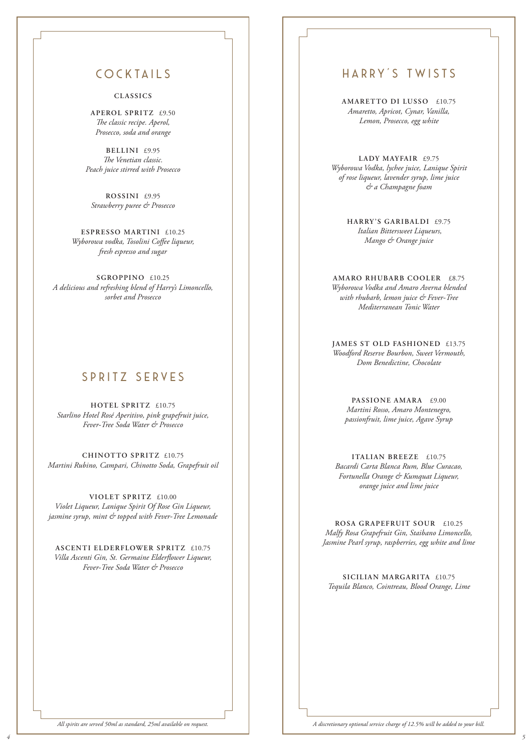## cocktails

### **CLASSICS**

**APEROL SPRITZ** £9.50 *The classic recipe. Aperol, Prosecco, soda and orange*

**BELLINI** £9.95 *The Venetian classic. Peach juice stirred with Prosecco*

**ROSSINI** £9.95 *Strawberry puree & Prosecco*

**ESPRESSO MARTINI** £10.25 *Wyborowa vodka, Tosolini Coffee liqueur, fresh espresso and sugar*

**SGROPPINO** £10.25 *A delicious and refreshing blend of Harry's Limoncello, sorbet and Prosecco*

## SPRITZ SERVES

**HOTEL SPRITZ** £10.75 *Starlino Hotel Rosé Aperitivo, pink grapefruit juice, Fever-Tree Soda Water & Prosecco*

**CHINOTTO SPRITZ** £10.75 *Martini Rubino, Campari, Chinotto Soda, Grapefruit oil*

**VIOLET SPRITZ** £10.00 *Violet Liqueur, Lanique Spirit Of Rose Gin Liqueur, jasmine syrup, mint & topped with Fever-Tree Lemonade* 

**ASCENTI ELDERFLOWER SPRITZ** £10.75 *Villa Ascenti Gin, St. Germaine Elderflower Liqueur, Fever-Tree Soda Water & Prosecco*

### HARRY'S TWISTS

**AMARETTO DI LUSSO** £10.75 *Amaretto, Apricot, Cynar, Vanilla, Lemon, Prosecco, egg white*

**LADY MAYFAIR** £9.75 *Wyborowa Vodka, lychee juice, Lanique Spirit of rose liqueur, lavender syrup, lime juice & a Champagne foam*

> **HARRY'S GARIBALDI** £9.75  *Italian Bittersweet Liqueurs, Mango & Orange juice*

**AMARO RHUBARB COOLER** £8.75 *Wyborowa Vodka and Amaro Averna blended with rhubarb, lemon juice & Fever-Tree Mediterranean Tonic Water*

**JAMES ST OLD FASHIONED** £13.75 *Woodford Reserve Bourbon, Sweet Vermouth, Dom Benedictine, Chocolate*

**PASSIONE AMARA** £9.00 *Martini Rosso, Amaro Montenegro, passionfruit, lime juice, Agave Syrup*

**ITALIAN BREEZE** £10.75 *Bacardi Carta Blanca Rum, Blue Curacao, Fortunella Orange & Kumquat Liqueur, orange juice and lime juice* 

**ROSA GRAPEFRUIT SOUR** £10.25 *Malfy Rosa Grapefruit Gin, Staibano Limoncello, Jasmine Pearl syrup, raspberries, egg white and lime*

**SICILIAN MARGARITA** £10.75 *Tequila Blanco, Cointreau, Blood Orange, Lime* 

*All spirits are served 50ml as standard, 25ml available on request. A discretionary optional service charge of 12.5% will be added to your bill.*

*4 5*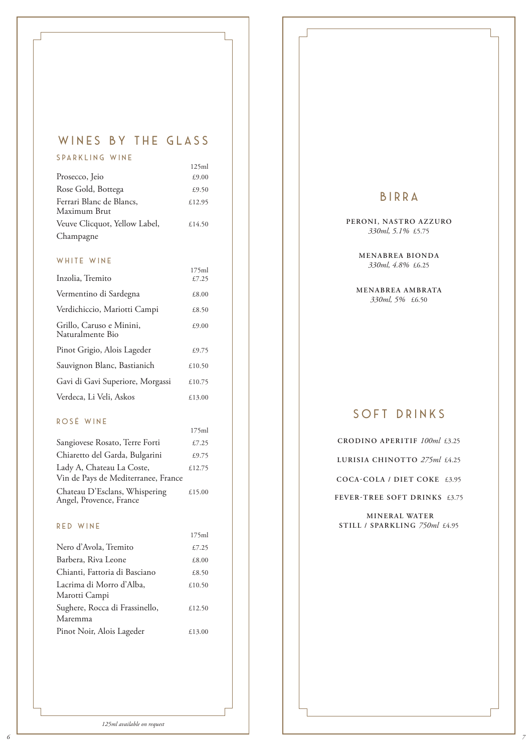# WINES BY THE GLASS

| SPARKLING WINE                           |        |
|------------------------------------------|--------|
|                                          | 125ml  |
| Prosecco, Jeio                           | £9.00  |
| Rose Gold, Bottega                       | £9.50  |
| Ferrari Blanc de Blancs,<br>Maximum Brut | £12.95 |
| Veuve Clicquot, Yellow Label,            | £14.50 |
| Champagne                                |        |

### WHITE WINE

| Inzolia, Tremito                             | £7.25  |
|----------------------------------------------|--------|
| Vermentino di Sardegna                       | £8.00  |
| Verdichiccio, Mariotti Campi                 | £8.50  |
| Grillo, Caruso e Minini,<br>Naturalmente Bio | £9.00  |
| Pinot Grigio, Alois Lageder                  | £9.75  |
| Sauvignon Blanc, Bastianich                  | £10.50 |
| Gavi di Gavi Superiore, Morgassi             | £10.75 |
| Verdeca, Li Veli, Askos                      | £13.00 |

175ml

### ROSÉ WINE

|                                                                  | 175ml  |
|------------------------------------------------------------------|--------|
| Sangiovese Rosato, Terre Forti                                   | £7.25  |
| Chiaretto del Garda, Bulgarini                                   | £9.75  |
| Lady A, Chateau La Coste,<br>Vin de Pays de Mediterranee, France | £12.75 |
| Chateau D'Esclans, Whispering<br>Angel, Provence, France         | £15.00 |

#### R ED WINE

*6*

|                                | 175ml  |
|--------------------------------|--------|
| Nero d'Avola, Tremito          | £7.25  |
| Barbera, Riva Leone            | £8.00  |
| Chianti, Fattoria di Basciano  | £8.50  |
| Lacrima di Morro d'Alba,       | £10.50 |
| Marotti Campi                  |        |
| Sughere, Rocca di Frassinello, | £12.50 |
| Maremma                        |        |
| Pinot Noir, Alois Lageder      | £13.00 |

### Birra

**PERONI, NASTRO AZZURO**  *330ml, 5.1%* £5.75

> **MENABREA BIONDA**  *330ml, 4.8%* £6.25

**MENABREA AMBRATA**  *330ml, 5%* £6.50

## soft drinks

**CRODINO APERITIF** *100ml* £3.25

**LURISIA CHINOTTO** *275ml* £4.25

**COCA-COLA / DIET COKE** £3.95

**FEVER-TREE SOFT DRINKS** £3.75

 **MINERAL WATER STILL / SPARKLING** *750ml* £4.95

*7*